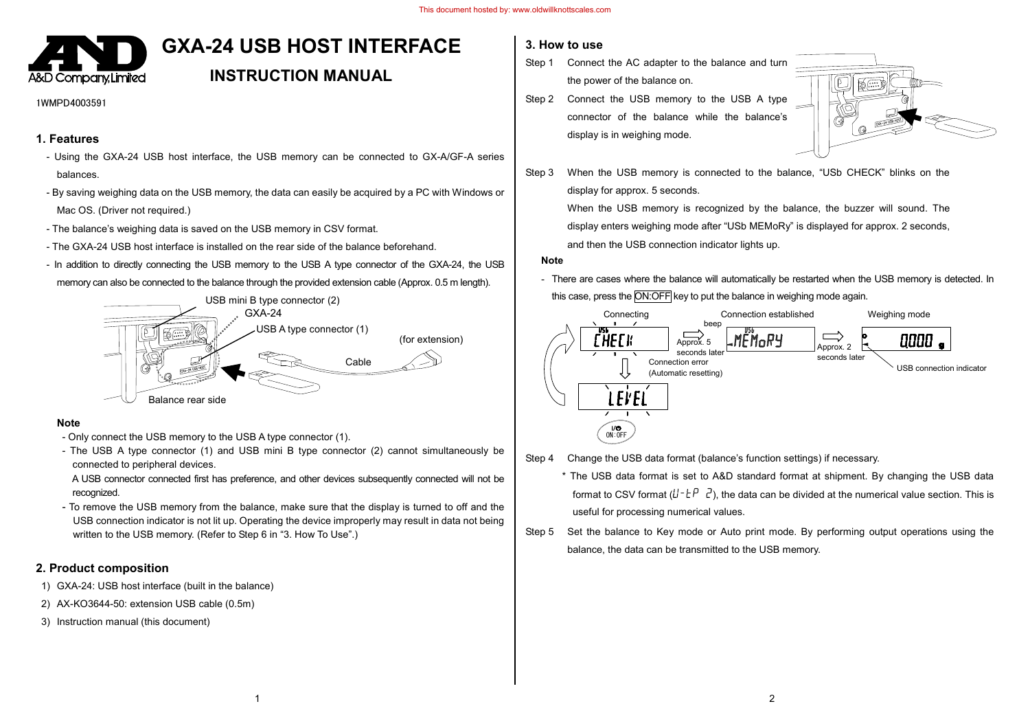

# **GXA-24 USB HOST INTERFACE**

## **INSTRUCTION MANUAL**

#### 1WMPD4003591

#### **1. Features**

- Using the GXA-24 USB host interface, the USB memory can be connected to GX-A/GF-A series balances.
- By saving weighing data on the USB memory, the data can easily be acquired by a PC with Windows or Mac OS. (Driver not required.)
- The balance's weighing data is saved on the USB memory in CSV format.
- The GXA-24 USB host interface is installed on the rear side of the balance beforehand.
- In addition to directly connecting the USB memory to the USB A type connector of the GXA-24, the USB memory can also be connected to the balance through the provided extension cable (Approx. 0.5 m length).



#### **Note**

- Only connect the USB memory to the USB A type connector (1).
- The USB A type connector (1) and USB mini B type connector (2) cannot simultaneously be connected to peripheral devices.
- A USB connector connected first has preference, and other devices subsequently connected will not be recognized.
- To remove the USB memory from the balance, make sure that the display is turned to off and the USB connection indicator is not lit up. Operating the device improperly may result in data not being written to the USB memory. (Refer to Step 6 in "3. How To Use".)

## **2. Product composition**

- 1) GXA-24: USB host interface (built in the balance)
- 2) AX-KO3644-50: extension USB cable (0.5m)
- 3) Instruction manual (this document)

## **3. How to use**

- Step 1 Connect the AC adapter to the balance and turn the power of the balance on.
- Step 2 Connect the USB memory to the USB A type connector of the balance while the balance's display is in weighing mode.



Step 3 When the USB memory is connected to the balance, "USb CHECK" blinks on the display for approx. 5 seconds.

> When the USB memory is recognized by the balance, the buzzer will sound. The display enters weighing mode after "USb MEMoRy" is displayed for approx. 2 seconds, and then the USB connection indicator lights up.

#### **Note**

- There are cases where the balance will automatically be restarted when the USB memory is detected. In this case, press the ON:OFF key to put the balance in weighing mode again.



- Step 4 Change the USB data format (balance's function settings) if necessary.
	- \* The USB data format is set to A&D standard format at shipment. By changing the USB data format to CSV format  $(l^{\dagger} \tau^{\dagger} \vec{r})$ , the data can be divided at the numerical value section. This is useful for processing numerical values.
- Step 5 Set the balance to Key mode or Auto print mode. By performing output operations using the balance, the data can be transmitted to the USB memory.